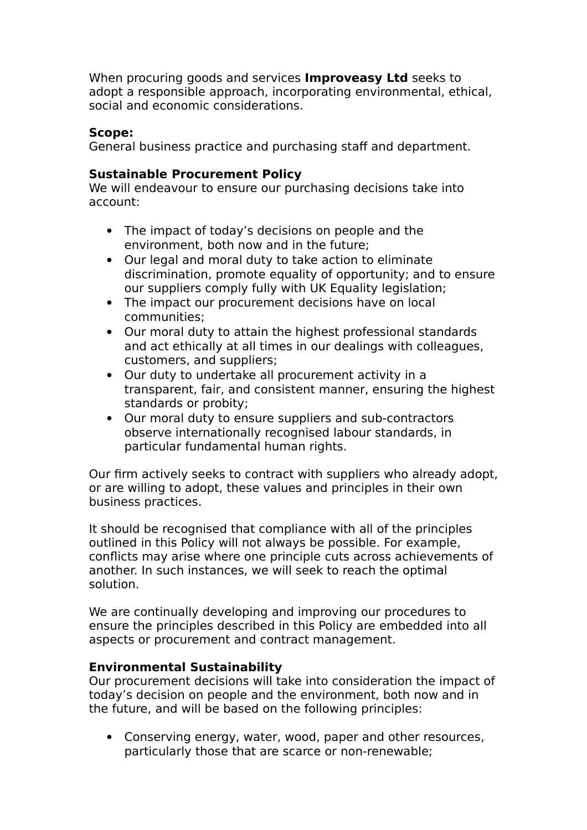When procuring goods and services **Improveasy Ltd** seeks to adopt a responsible approach, incorporating environmental, ethical, social and economic considerations.

# **Scope:**

General business practice and purchasing staff and department.

# **Sustainable Procurement Policy**

We will endeavour to ensure our purchasing decisions take into account:

- The impact of today's decisions on people and the environment, both now and in the future;
- Our legal and moral duty to take action to eliminate discrimination, promote equality of opportunity; and to ensure our suppliers comply fully with UK Equality legislation;
- The impact our procurement decisions have on local communities;
- Our moral duty to attain the highest professional standards and act ethically at all times in our dealings with colleagues, customers, and suppliers;
- Our duty to undertake all procurement activity in a transparent, fair, and consistent manner, ensuring the highest standards or probity;
- Our moral duty to ensure suppliers and sub-contractors observe internationally recognised labour standards, in particular fundamental human rights.

Our firm actively seeks to contract with suppliers who already adopt, or are willing to adopt, these values and principles in their own business practices.

It should be recognised that compliance with all of the principles outlined in this Policy will not always be possible. For example, conflicts may arise where one principle cuts across achievements of another. In such instances, we will seek to reach the optimal solution.

We are continually developing and improving our procedures to ensure the principles described in this Policy are embedded into all aspects or procurement and contract management.

# **Environmental Sustainability**

Our procurement decisions will take into consideration the impact of today's decision on people and the environment, both now and in the future, and will be based on the following principles:

 Conserving energy, water, wood, paper and other resources, particularly those that are scarce or non-renewable;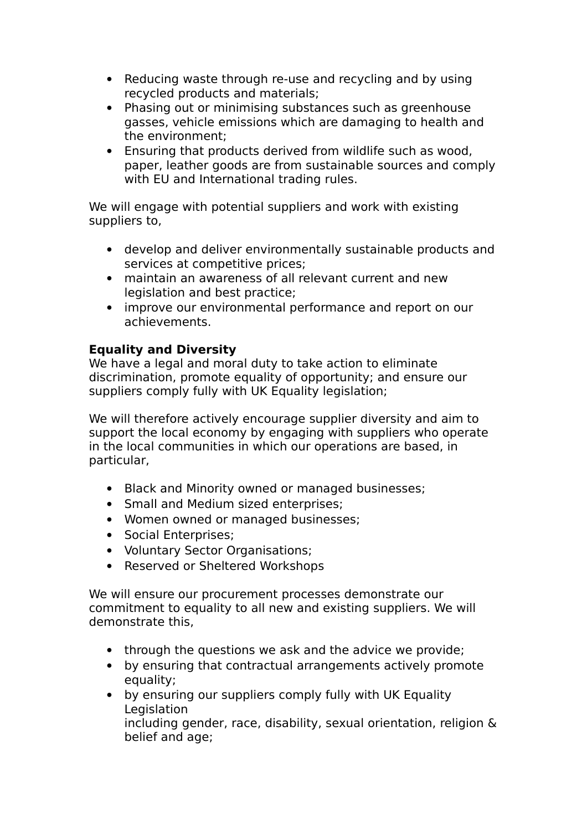- Reducing waste through re-use and recycling and by using recycled products and materials;
- Phasing out or minimising substances such as greenhouse gasses, vehicle emissions which are damaging to health and the environment;
- Ensuring that products derived from wildlife such as wood, paper, leather goods are from sustainable sources and comply with EU and International trading rules.

We will engage with potential suppliers and work with existing suppliers to,

- develop and deliver environmentally sustainable products and services at competitive prices;
- maintain an awareness of all relevant current and new legislation and best practice;
- improve our environmental performance and report on our achievements.

# **Equality and Diversity**

We have a legal and moral duty to take action to eliminate discrimination, promote equality of opportunity; and ensure our suppliers comply fully with UK Equality legislation;

We will therefore actively encourage supplier diversity and aim to support the local economy by engaging with suppliers who operate in the local communities in which our operations are based, in particular,

- Black and Minority owned or managed businesses;
- Small and Medium sized enterprises;
- Women owned or managed businesses;
- Social Enterprises;
- Voluntary Sector Organisations;
- Reserved or Sheltered Workshops

We will ensure our procurement processes demonstrate our commitment to equality to all new and existing suppliers. We will demonstrate this,

- through the questions we ask and the advice we provide;
- by ensuring that contractual arrangements actively promote equality;
- by ensuring our suppliers comply fully with UK Equality Legislation including gender, race, disability, sexual orientation, religion & belief and age;